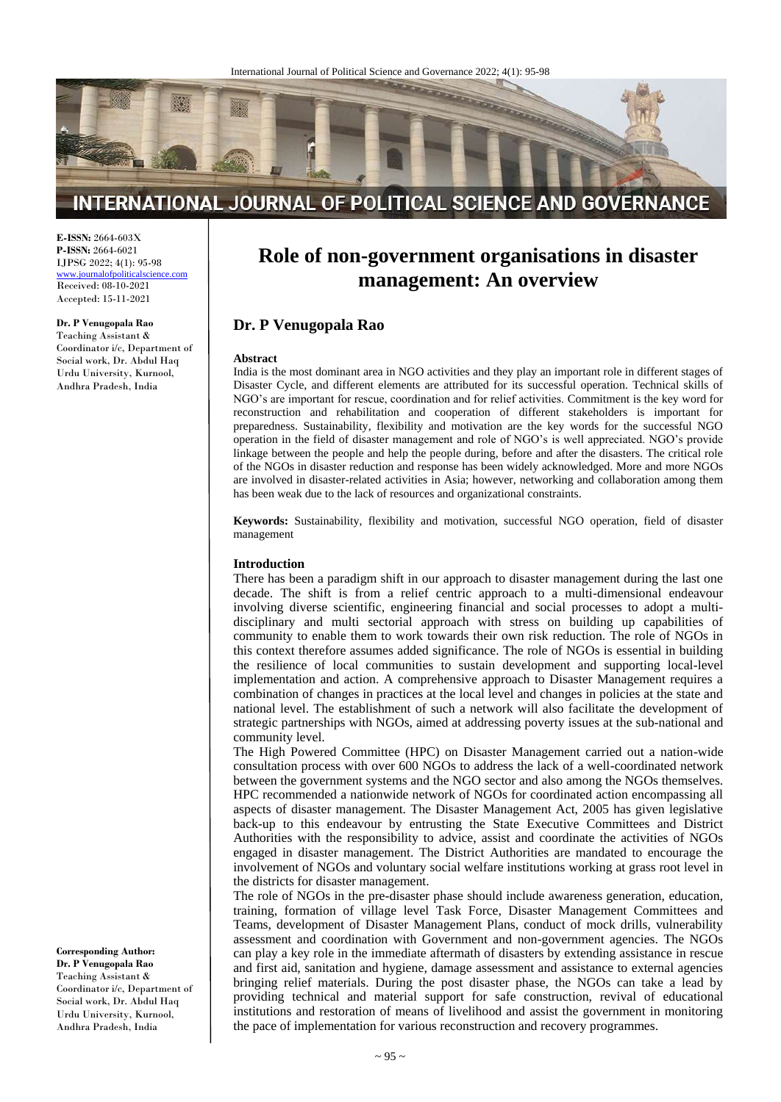

## INTERNATIONAL JOURNAL OF POLITICAL SCIENCE AND GOVERNANCE

**E-ISSN:** 2664-603X **P-ISSN:** 2664-6021 IJPSG 2022; 4(1): 95-98

[www.journalofpoliticalscience.com](http://www.journalofpoliticalscience.com/) Received: 08-10-2021 Accepted: 15-11-2021

#### **Dr. P Venugopala Rao**

Teaching Assistant & Coordinator i/c, Department of Social work, Dr. Abdul Haq Urdu University, Kurnool, Andhra Pradesh, India

# **Role of non-government organisations in disaster management: An overview**

### **Dr. P Venugopala Rao**

#### **Abstract**

India is the most dominant area in NGO activities and they play an important role in different stages of Disaster Cycle, and different elements are attributed for its successful operation. Technical skills of NGO's are important for rescue, coordination and for relief activities. Commitment is the key word for reconstruction and rehabilitation and cooperation of different stakeholders is important for preparedness. Sustainability, flexibility and motivation are the key words for the successful NGO operation in the field of disaster management and role of NGO's is well appreciated. NGO's provide linkage between the people and help the people during, before and after the disasters. The critical role of the NGOs in disaster reduction and response has been widely acknowledged. More and more NGOs are involved in disaster-related activities in Asia; however, networking and collaboration among them has been weak due to the lack of resources and organizational constraints.

**Keywords:** Sustainability, flexibility and motivation, successful NGO operation, field of disaster management

#### **Introduction**

There has been a paradigm shift in our approach to disaster management during the last one decade. The shift is from a relief centric approach to a multi-dimensional endeavour involving diverse scientific, engineering financial and social processes to adopt a multidisciplinary and multi sectorial approach with stress on building up capabilities of community to enable them to work towards their own risk reduction. The role of NGOs in this context therefore assumes added significance. The role of NGOs is essential in building the resilience of local communities to sustain development and supporting local-level implementation and action. A comprehensive approach to Disaster Management requires a combination of changes in practices at the local level and changes in policies at the state and national level. The establishment of such a network will also facilitate the development of strategic partnerships with NGOs, aimed at addressing poverty issues at the sub-national and community level.

The High Powered Committee (HPC) on Disaster Management carried out a nation-wide consultation process with over 600 NGOs to address the lack of a well-coordinated network between the government systems and the NGO sector and also among the NGOs themselves. HPC recommended a nationwide network of NGOs for coordinated action encompassing all aspects of disaster management. The Disaster Management Act, 2005 has given legislative back-up to this endeavour by entrusting the State Executive Committees and District Authorities with the responsibility to advice, assist and coordinate the activities of NGOs engaged in disaster management. The District Authorities are mandated to encourage the involvement of NGOs and voluntary social welfare institutions working at grass root level in the districts for disaster management.

The role of NGOs in the pre-disaster phase should include awareness generation, education, training, formation of village level Task Force, Disaster Management Committees and Teams, development of Disaster Management Plans, conduct of mock drills, vulnerability assessment and coordination with Government and non-government agencies. The NGOs can play a key role in the immediate aftermath of disasters by extending assistance in rescue and first aid, sanitation and hygiene, damage assessment and assistance to external agencies bringing relief materials. During the post disaster phase, the NGOs can take a lead by providing technical and material support for safe construction, revival of educational institutions and restoration of means of livelihood and assist the government in monitoring the pace of implementation for various reconstruction and recovery programmes.

**Corresponding Author: Dr. P Venugopala Rao** Teaching Assistant & Coordinator i/c, Department of Social work, Dr. Abdul Haq Urdu University, Kurnool, Andhra Pradesh, India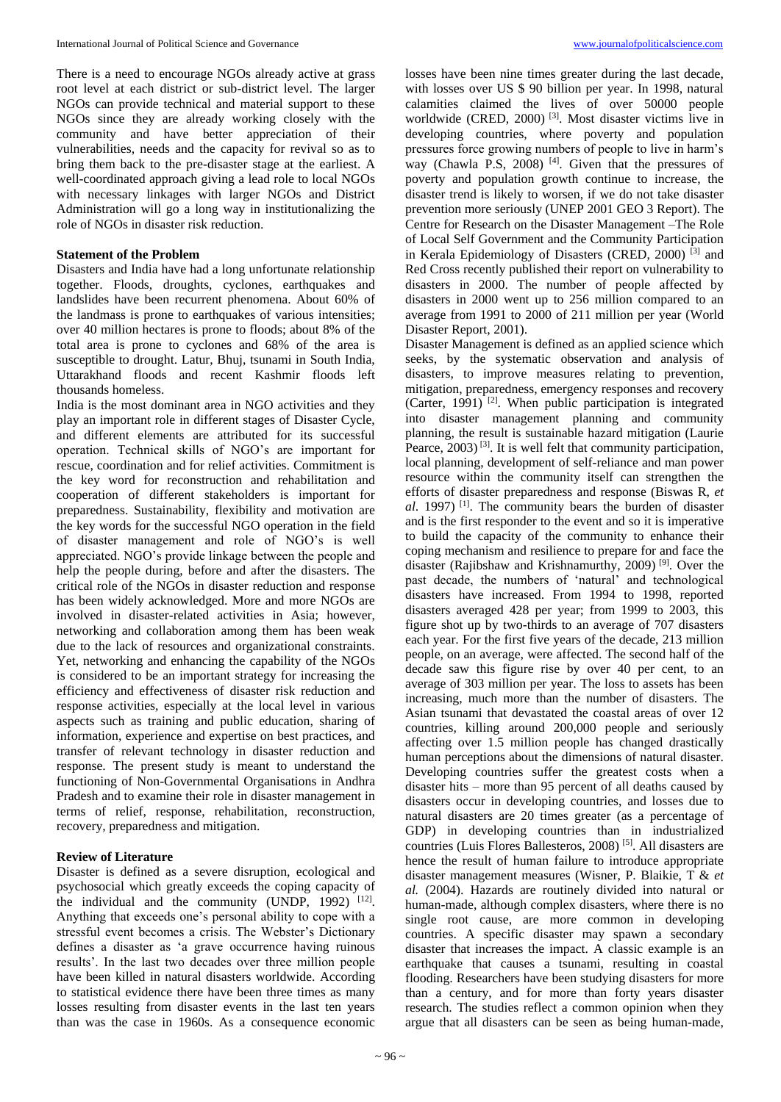There is a need to encourage NGOs already active at grass root level at each district or sub-district level. The larger NGOs can provide technical and material support to these NGOs since they are already working closely with the community and have better appreciation of their vulnerabilities, needs and the capacity for revival so as to bring them back to the pre-disaster stage at the earliest. A well-coordinated approach giving a lead role to local NGOs with necessary linkages with larger NGOs and District Administration will go a long way in institutionalizing the role of NGOs in disaster risk reduction.

#### **Statement of the Problem**

Disasters and India have had a long unfortunate relationship together. Floods, droughts, cyclones, earthquakes and landslides have been recurrent phenomena. About 60% of the landmass is prone to earthquakes of various intensities; over 40 million hectares is prone to floods; about 8% of the total area is prone to cyclones and 68% of the area is susceptible to drought. Latur, Bhuj, tsunami in South India, Uttarakhand floods and recent Kashmir floods left thousands homeless.

India is the most dominant area in NGO activities and they play an important role in different stages of Disaster Cycle, and different elements are attributed for its successful operation. Technical skills of NGO's are important for rescue, coordination and for relief activities. Commitment is the key word for reconstruction and rehabilitation and cooperation of different stakeholders is important for preparedness. Sustainability, flexibility and motivation are the key words for the successful NGO operation in the field of disaster management and role of NGO's is well appreciated. NGO's provide linkage between the people and help the people during, before and after the disasters. The critical role of the NGOs in disaster reduction and response has been widely acknowledged. More and more NGOs are involved in disaster-related activities in Asia; however, networking and collaboration among them has been weak due to the lack of resources and organizational constraints. Yet, networking and enhancing the capability of the NGOs is considered to be an important strategy for increasing the efficiency and effectiveness of disaster risk reduction and response activities, especially at the local level in various aspects such as training and public education, sharing of information, experience and expertise on best practices, and transfer of relevant technology in disaster reduction and response. The present study is meant to understand the functioning of Non-Governmental Organisations in Andhra Pradesh and to examine their role in disaster management in terms of relief, response, rehabilitation, reconstruction, recovery, preparedness and mitigation.

#### **Review of Literature**

Disaster is defined as a severe disruption, ecological and psychosocial which greatly exceeds the coping capacity of the individual and the community (UNDP, 1992)  $[12]$ . Anything that exceeds one's personal ability to cope with a stressful event becomes a crisis. The Webster's Dictionary defines a disaster as 'a grave occurrence having ruinous results'. In the last two decades over three million people have been killed in natural disasters worldwide. According to statistical evidence there have been three times as many losses resulting from disaster events in the last ten years than was the case in 1960s. As a consequence economic

losses have been nine times greater during the last decade, with losses over US \$ 90 billion per year. In 1998, natural calamities claimed the lives of over 50000 people worldwide (CRED, 2000)<sup>[3]</sup>. Most disaster victims live in developing countries, where poverty and population pressures force growing numbers of people to live in harm's way (Chawla P.S, 2008)<sup>[4]</sup>. Given that the pressures of poverty and population growth continue to increase, the disaster trend is likely to worsen, if we do not take disaster prevention more seriously (UNEP 2001 GEO 3 Report). The Centre for Research on the Disaster Management –The Role of Local Self Government and the Community Participation in Kerala Epidemiology of Disasters (CRED, 2000) [3] and Red Cross recently published their report on vulnerability to disasters in 2000. The number of people affected by disasters in 2000 went up to 256 million compared to an average from 1991 to 2000 of 211 million per year (World Disaster Report, 2001).

Disaster Management is defined as an applied science which seeks, by the systematic observation and analysis of disasters, to improve measures relating to prevention, mitigation, preparedness, emergency responses and recovery (Carter, 1991)<sup>[2]</sup>. When public participation is integrated into disaster management planning and community planning, the result is sustainable hazard mitigation (Laurie Pearce, 2003)<sup>[3]</sup>. It is well felt that community participation, local planning, development of self-reliance and man power resource within the community itself can strengthen the efforts of disaster preparedness and response (Biswas R, *et al*. 1997) [1] . The community bears the burden of disaster and is the first responder to the event and so it is imperative to build the capacity of the community to enhance their coping mechanism and resilience to prepare for and face the disaster (Rajibshaw and Krishnamurthy, 2009) [9] . Over the past decade, the numbers of 'natural' and technological disasters have increased. From 1994 to 1998, reported disasters averaged 428 per year; from 1999 to 2003, this figure shot up by two-thirds to an average of 707 disasters each year. For the first five years of the decade, 213 million people, on an average, were affected. The second half of the decade saw this figure rise by over 40 per cent, to an average of 303 million per year. The loss to assets has been increasing, much more than the number of disasters. The Asian tsunami that devastated the coastal areas of over 12 countries, killing around 200,000 people and seriously affecting over 1.5 million people has changed drastically human perceptions about the dimensions of natural disaster. Developing countries suffer the greatest costs when a disaster hits – more than 95 percent of all deaths caused by disasters occur in developing countries, and losses due to natural disasters are 20 times greater (as a percentage of GDP) in developing countries than in industrialized countries (Luis Flores Ballesteros, 2008) [5]. All disasters are hence the result of human failure to introduce appropriate disaster management measures (Wisner, P. Blaikie, T & *et al.* (2004). Hazards are routinely divided into natural or human-made, although complex disasters, where there is no single root cause, are more common in developing countries. A specific disaster may spawn a secondary disaster that increases the impact. A classic example is an earthquake that causes a tsunami, resulting in coastal flooding. Researchers have been studying disasters for more than a century, and for more than forty years disaster research. The studies reflect a common opinion when they argue that all disasters can be seen as being human-made,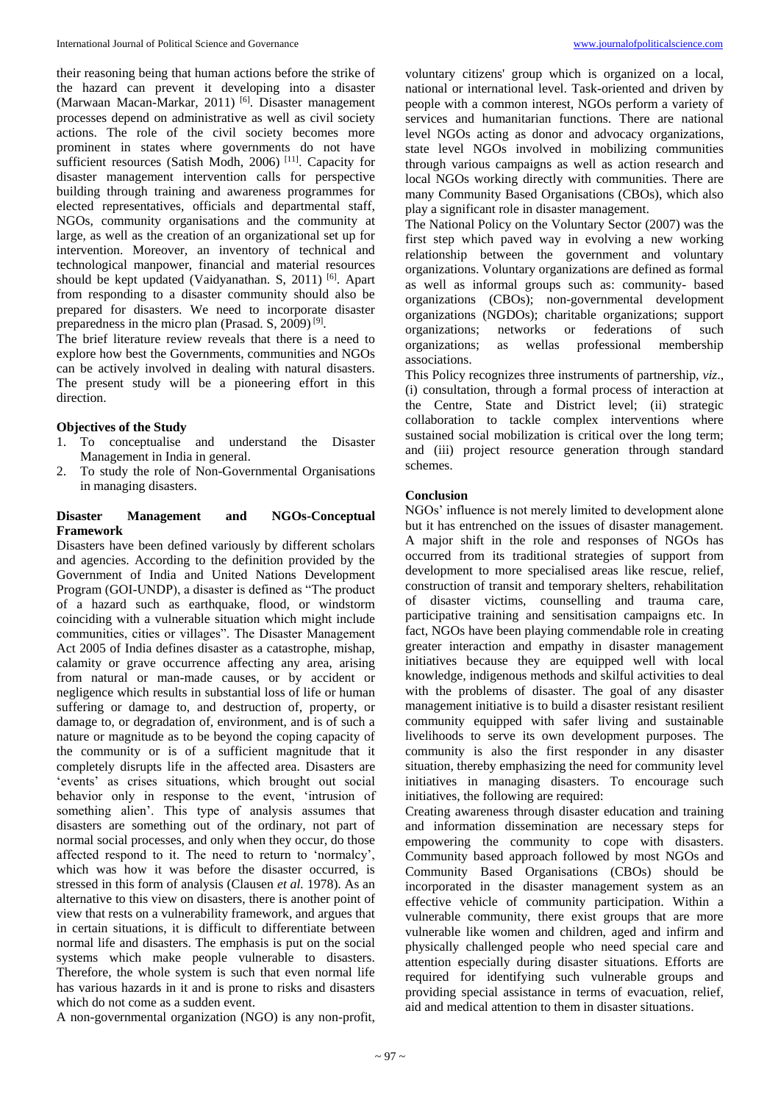their reasoning being that human actions before the strike of the hazard can prevent it developing into a disaster (Marwaan Macan-Markar, 2011)<sup>[6]</sup>. Disaster management processes depend on administrative as well as civil society actions. The role of the civil society becomes more prominent in states where governments do not have sufficient resources (Satish Modh, 2006)<sup>[11]</sup>. Capacity for disaster management intervention calls for perspective building through training and awareness programmes for elected representatives, officials and departmental staff, NGOs, community organisations and the community at large, as well as the creation of an organizational set up for intervention. Moreover, an inventory of technical and technological manpower, financial and material resources should be kept updated (Vaidyanathan. S, 2011)<sup>[6]</sup>. Apart from responding to a disaster community should also be prepared for disasters. We need to incorporate disaster preparedness in the micro plan (Prasad. S, 2009)<sup>[9]</sup>.

The brief literature review reveals that there is a need to explore how best the Governments, communities and NGOs can be actively involved in dealing with natural disasters. The present study will be a pioneering effort in this direction.

#### **Objectives of the Study**

- 1. To conceptualise and understand the Disaster Management in India in general.
- 2. To study the role of Non-Governmental Organisations in managing disasters.

### **Disaster Management and NGOs-Conceptual Framework**

Disasters have been defined variously by different scholars and agencies. According to the definition provided by the Government of India and United Nations Development Program (GOI-UNDP), a disaster is defined as "The product of a hazard such as earthquake, flood, or windstorm coinciding with a vulnerable situation which might include communities, cities or villages". The Disaster Management Act 2005 of India defines disaster as a catastrophe, mishap, calamity or grave occurrence affecting any area, arising from natural or man-made causes, or by accident or negligence which results in substantial loss of life or human suffering or damage to, and destruction of, property, or damage to, or degradation of, environment, and is of such a nature or magnitude as to be beyond the coping capacity of the community or is of a sufficient magnitude that it completely disrupts life in the affected area. Disasters are 'events' as crises situations, which brought out social behavior only in response to the event, 'intrusion of something alien'. This type of analysis assumes that disasters are something out of the ordinary, not part of normal social processes, and only when they occur, do those affected respond to it. The need to return to 'normalcy', which was how it was before the disaster occurred, is stressed in this form of analysis (Clausen *et al.* 1978). As an alternative to this view on disasters, there is another point of view that rests on a vulnerability framework, and argues that in certain situations, it is difficult to differentiate between normal life and disasters. The emphasis is put on the social systems which make people vulnerable to disasters. Therefore, the whole system is such that even normal life has various hazards in it and is prone to risks and disasters which do not come as a sudden event.

A non-governmental organization (NGO) is any non-profit,

voluntary citizens' group which is organized on a local, national or international level. Task-oriented and driven by people with a common interest, NGOs perform a variety of services and humanitarian functions. There are national level NGOs acting as donor and advocacy organizations, state level NGOs involved in mobilizing communities through various campaigns as well as action research and local NGOs working directly with communities. There are many Community Based Organisations (CBOs), which also play a significant role in disaster management.

The National Policy on the Voluntary Sector (2007) was the first step which paved way in evolving a new working relationship between the government and voluntary organizations. Voluntary organizations are defined as formal as well as informal groups such as: community- based organizations (CBOs); non-governmental development organizations (NGDOs); charitable organizations; support organizations; networks or federations of such organizations; as wellas professional membership associations.

This Policy recognizes three instruments of partnership, *viz*., (i) consultation, through a formal process of interaction at the Centre, State and District level; (ii) strategic collaboration to tackle complex interventions where sustained social mobilization is critical over the long term; and (iii) project resource generation through standard schemes.

#### **Conclusion**

NGOs' influence is not merely limited to development alone but it has entrenched on the issues of disaster management. A major shift in the role and responses of NGOs has occurred from its traditional strategies of support from development to more specialised areas like rescue, relief, construction of transit and temporary shelters, rehabilitation of disaster victims, counselling and trauma care, participative training and sensitisation campaigns etc. In fact, NGOs have been playing commendable role in creating greater interaction and empathy in disaster management initiatives because they are equipped well with local knowledge, indigenous methods and skilful activities to deal with the problems of disaster. The goal of any disaster management initiative is to build a disaster resistant resilient community equipped with safer living and sustainable livelihoods to serve its own development purposes. The community is also the first responder in any disaster situation, thereby emphasizing the need for community level initiatives in managing disasters. To encourage such initiatives, the following are required:

Creating awareness through disaster education and training and information dissemination are necessary steps for empowering the community to cope with disasters. Community based approach followed by most NGOs and Community Based Organisations (CBOs) should be incorporated in the disaster management system as an effective vehicle of community participation. Within a vulnerable community, there exist groups that are more vulnerable like women and children, aged and infirm and physically challenged people who need special care and attention especially during disaster situations. Efforts are required for identifying such vulnerable groups and providing special assistance in terms of evacuation, relief, aid and medical attention to them in disaster situations.